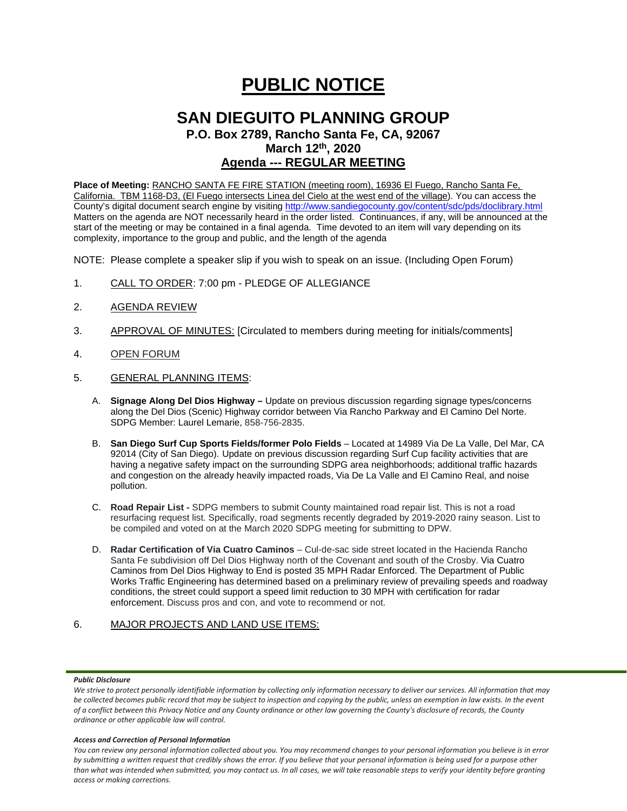# **PUBLIC NOTICE**

## **SAN DIEGUITO PLANNING GROUP**

**P.O. Box 2789, Rancho Santa Fe, CA, 92067 March 12th, 2020**

## **Agenda --- REGULAR MEETING**

**Place of Meeting:** RANCHO SANTA FE FIRE STATION (meeting room), 16936 El Fuego, Rancho Santa Fe, California. TBM 1168-D3, (El Fuego intersects Linea del Cielo at the west end of the village). You can access the County's digital document search engine by visitin[g http://www.sandiegocounty.gov/content/sdc/pds/doclibrary.html](http://www.sandiegocounty.gov/content/sdc/pds/doclibrary.html) Matters on the agenda are NOT necessarily heard in the order listed. Continuances, if any, will be announced at the start of the meeting or may be contained in a final agenda. Time devoted to an item will vary depending on its complexity, importance to the group and public, and the length of the agenda

NOTE: Please complete a speaker slip if you wish to speak on an issue. (Including Open Forum)

- 1. CALL TO ORDER: 7:00 pm PLEDGE OF ALLEGIANCE
- 2. AGENDA REVIEW
- 3. APPROVAL OF MINUTES: [Circulated to members during meeting for initials/comments]
- 4. OPEN FORUM
- 5. GENERAL PLANNING ITEMS:
	- A. **Signage Along Del Dios Highway –** Update on previous discussion regarding signage types/concerns along the Del Dios (Scenic) Highway corridor between Via Rancho Parkway and El Camino Del Norte. SDPG Member: Laurel Lemarie, 858-756-2835.
	- B. **San Diego Surf Cup Sports Fields/former Polo Fields** Located at 14989 Via De La Valle, Del Mar, CA 92014 (City of San Diego). Update on previous discussion regarding Surf Cup facility activities that are having a negative safety impact on the surrounding SDPG area neighborhoods; additional traffic hazards and congestion on the already heavily impacted roads, Via De La Valle and El Camino Real, and noise pollution.
	- C. **Road Repair List -** SDPG members to submit County maintained road repair list. This is not a road resurfacing request list. Specifically, road segments recently degraded by 2019-2020 rainy season. List to be compiled and voted on at the March 2020 SDPG meeting for submitting to DPW.
	- D. **Radar Certification of Via Cuatro Caminos** Cul-de-sac side street located in the Hacienda Rancho Santa Fe subdivision off Del Dios Highway north of the Covenant and south of the Crosby. Via Cuatro Caminos from Del Dios Highway to End is posted 35 MPH Radar Enforced. The Department of Public Works Traffic Engineering has determined based on a preliminary review of prevailing speeds and roadway conditions, the street could support a speed limit reduction to 30 MPH with certification for radar enforcement. Discuss pros and con, and vote to recommend or not.

## 6. MAJOR PROJECTS AND LAND USE ITEMS:

### *Public Disclosure*

## *Access and Correction of Personal Information*

*You can review any personal information collected about you. You may recommend changes to your personal information you believe is in error by submitting a written request that credibly shows the error. If you believe that your personal information is being used for a purpose other than what was intended when submitted, you may contact us. In all cases, we will take reasonable steps to verify your identity before granting access or making corrections.*

We strive to protect personally identifiable information by collecting only information necessary to deliver our services. All information that may *be collected becomes public record that may be subject to inspection and copying by the public, unless an exemption in law exists. In the event of a conflict between this Privacy Notice and any County ordinance or other law governing the County's disclosure of records, the County ordinance or other applicable law will control.*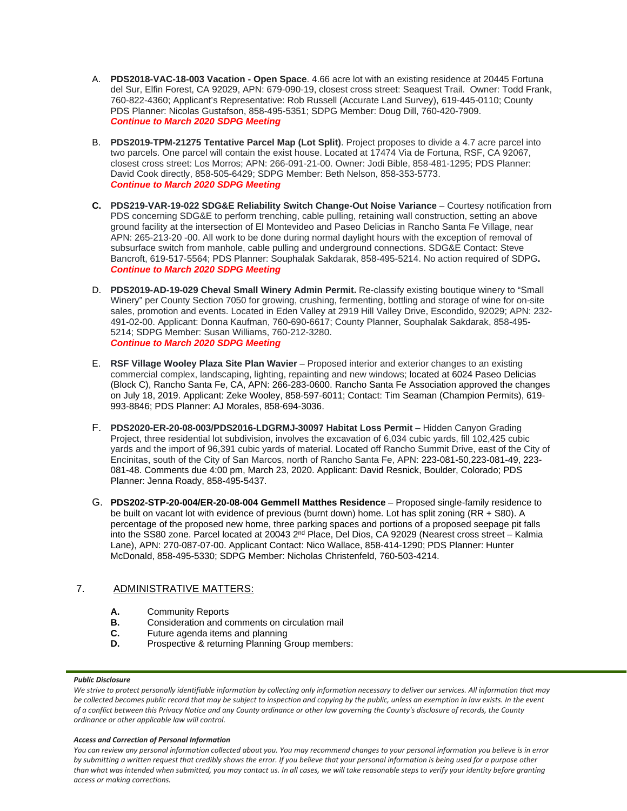- A. **PDS2018-VAC-18-003 Vacation - Open Space**. 4.66 acre lot with an existing residence at 20445 Fortuna del Sur, Elfin Forest, CA 92029, APN: 679-090-19, closest cross street: Seaquest Trail. Owner: Todd Frank, 760-822-4360; Applicant's Representative: Rob Russell (Accurate Land Survey), 619-445-0110; County PDS Planner: Nicolas Gustafson, 858-495-5351; SDPG Member: Doug Dill, 760-420-7909. *Continue to March 2020 SDPG Meeting*
- B. **PDS2019-TPM-21275 Tentative Parcel Map (Lot Split)**. Project proposes to divide a 4.7 acre parcel into two parcels. One parcel will contain the exist house. Located at 17474 Via de Fortuna, RSF, CA 92067, closest cross street: Los Morros; APN: 266-091-21-00. Owner: Jodi Bible, 858-481-1295; PDS Planner: David Cook directly, 858-505-6429; SDPG Member: Beth Nelson, 858-353-5773. *Continue to March 2020 SDPG Meeting*
- **C. PDS219-VAR-19-022 SDG&E Reliability Switch Change-Out Noise Variance** Courtesy notification from PDS concerning SDG&E to perform trenching, cable pulling, retaining wall construction, setting an above ground facility at the intersection of El Montevideo and Paseo Delicias in Rancho Santa Fe Village, near APN: 265-213-20 -00. All work to be done during normal daylight hours with the exception of removal of subsurface switch from manhole, cable pulling and underground connections. SDG&E Contact: Steve Bancroft, 619-517-5564; PDS Planner: Souphalak Sakdarak, 858-495-5214. No action required of SDPG**.** *Continue to March 2020 SDPG Meeting*
- D. **PDS2019-AD-19-029 Cheval Small Winery Admin Permit.** Re-classify existing boutique winery to "Small Winery" per County Section 7050 for growing, crushing, fermenting, bottling and storage of wine for on-site sales, promotion and events. Located in Eden Valley at 2919 Hill Valley Drive, Escondido, 92029; APN: 232- 491-02-00. Applicant: Donna Kaufman, 760-690-6617; County Planner, Souphalak Sakdarak, 858-495- 5214; SDPG Member: Susan Williams, 760-212-3280. *Continue to March 2020 SDPG Meeting*
- E. **RSF Village Wooley Plaza Site Plan Wavier** Proposed interior and exterior changes to an existing commercial complex, landscaping, lighting, repainting and new windows; located at 6024 Paseo Delicias (Block C), Rancho Santa Fe, CA, APN: 266-283-0600. Rancho Santa Fe Association approved the changes on July 18, 2019. Applicant: Zeke Wooley, 858-597-6011; Contact: Tim Seaman (Champion Permits), 619- 993-8846; PDS Planner: AJ Morales, 858-694-3036.
- F. **PDS2020-ER-20-08-003/PDS2016-LDGRMJ-30097 Habitat Loss Permit** Hidden Canyon Grading Project, three residential lot subdivision, involves the excavation of 6,034 cubic yards, fill 102,425 cubic yards and the import of 96,391 cubic yards of material. Located off Rancho Summit Drive, east of the City of Encinitas, south of the City of San Marcos, north of Rancho Santa Fe, APN: 223-081-50,223-081-49, 223- 081-48. Comments due 4:00 pm, March 23, 2020. Applicant: David Resnick, Boulder, Colorado; PDS Planner: Jenna Roady, 858-495-5437.
- G. **PDS202-STP-20-004/ER-20-08-004 Gemmell Matthes Residence** Proposed single-family residence to be built on vacant lot with evidence of previous (burnt down) home. Lot has split zoning (RR + S80). A percentage of the proposed new home, three parking spaces and portions of a proposed seepage pit falls into the SS80 zone. Parcel located at 20043 2<sup>nd</sup> Place, Del Dios, CA 92029 (Nearest cross street – Kalmia Lane), APN: 270-087-07-00. Applicant Contact: Nico Wallace, 858-414-1290; PDS Planner: Hunter McDonald, 858-495-5330; SDPG Member: Nicholas Christenfeld, 760-503-4214.

## 7. ADMINISTRATIVE MATTERS:

- **A.** Community Reports<br>**B.** Consideration and co
- **B.** Consideration and comments on circulation mail
- **C.** Future agenda items and planning<br>**D.** Prospective & returning Planning G
- Prospective & returning Planning Group members:

## *Public Disclosure*

## *Access and Correction of Personal Information*

*You can review any personal information collected about you. You may recommend changes to your personal information you believe is in error by submitting a written request that credibly shows the error. If you believe that your personal information is being used for a purpose other than what was intended when submitted, you may contact us. In all cases, we will take reasonable steps to verify your identity before granting access or making corrections.*

We strive to protect personally identifiable information by collecting only information necessary to deliver our services. All information that may *be collected becomes public record that may be subject to inspection and copying by the public, unless an exemption in law exists. In the event of a conflict between this Privacy Notice and any County ordinance or other law governing the County's disclosure of records, the County ordinance or other applicable law will control.*